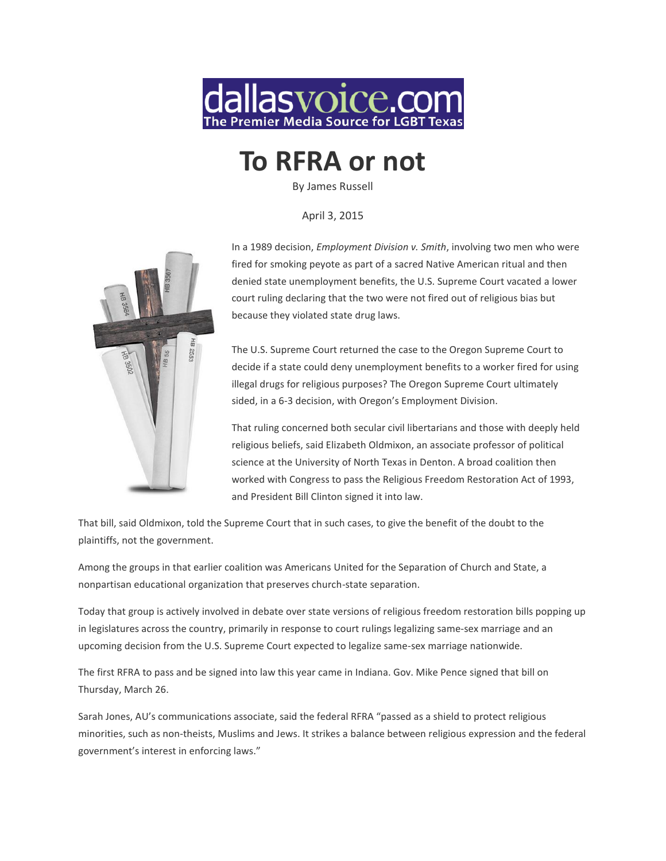

# **To RFRA or not**

By James Russell

April 3, 2015



In a 1989 decision, *Employment Division v. Smith*, involving two men who were fired for smoking peyote as part of a sacred Native American ritual and then denied state unemployment benefits, the U.S. Supreme Court vacated a lower court ruling declaring that the two were not fired out of religious bias but because they violated state drug laws.

The U.S. Supreme Court returned the case to the Oregon Supreme Court to decide if a state could deny unemployment benefits to a worker fired for using illegal drugs for religious purposes? The Oregon Supreme Court ultimately sided, in a 6-3 decision, with Oregon's Employment Division.

That ruling concerned both secular civil libertarians and those with deeply held religious beliefs, said Elizabeth Oldmixon, an associate professor of political science at the University of North Texas in Denton. A broad coalition then worked with Congress to pass the Religious Freedom Restoration Act of 1993, and President Bill Clinton signed it into law.

That bill, said Oldmixon, told the Supreme Court that in such cases, to give the benefit of the doubt to the plaintiffs, not the government.

Among the groups in that earlier coalition was Americans United for the Separation of Church and State, a nonpartisan educational organization that preserves church-state separation.

Today that group is actively involved in debate over state versions of religious freedom restoration bills popping up in legislatures across the country, primarily in response to court rulings legalizing same-sex marriage and an upcoming decision from the U.S. Supreme Court expected to legalize same-sex marriage nationwide.

The first RFRA to pass and be signed into law this year came in Indiana. Gov. Mike Pence signed that bill on Thursday, March 26.

Sarah Jones, AU's communications associate, said the federal RFRA "passed as a shield to protect religious minorities, such as non-theists, Muslims and Jews. It strikes a balance between religious expression and the federal government's interest in enforcing laws."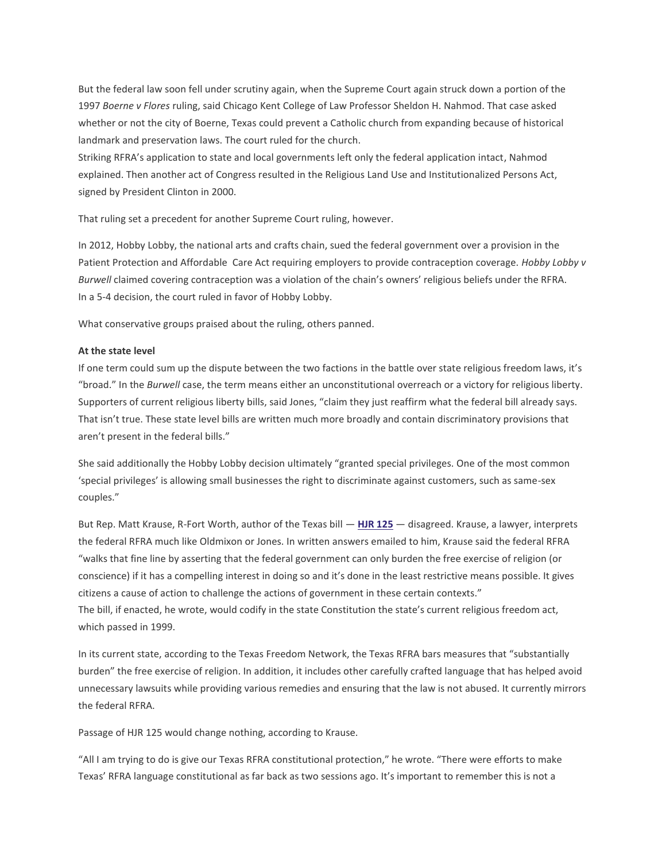But the federal law soon fell under scrutiny again, when the Supreme Court again struck down a portion of the 1997 *Boerne v Flores* ruling, said Chicago Kent College of Law Professor Sheldon H. Nahmod. That case asked whether or not the city of Boerne, Texas could prevent a Catholic church from expanding because of historical landmark and preservation laws. The court ruled for the church.

Striking RFRA's application to state and local governments left only the federal application intact, Nahmod explained. Then another act of Congress resulted in the Religious Land Use and Institutionalized Persons Act, signed by President Clinton in 2000.

That ruling set a precedent for another Supreme Court ruling, however.

In 2012, Hobby Lobby, the national arts and crafts chain, sued the federal government over a provision in the Patient Protection and Affordable Care Act requiring employers to provide contraception coverage. *Hobby Lobby v Burwell* claimed covering contraception was a violation of the chain's owners' religious beliefs under the RFRA. In a 5-4 decision, the court ruled in favor of Hobby Lobby.

What conservative groups praised about the ruling, others panned.

# **At the state level**

If one term could sum up the dispute between the two factions in the battle over state religious freedom laws, it's "broad." In the *Burwell* case, the term means either an unconstitutional overreach or a victory for religious liberty. Supporters of current religious liberty bills, said Jones, "claim they just reaffirm what the federal bill already says. That isn't true. These state level bills are written much more broadly and contain discriminatory provisions that aren't present in the federal bills."

She said additionally the Hobby Lobby decision ultimately "granted special privileges. One of the most common 'special privileges' is allowing small businesses the right to discriminate against customers, such as same-sex couples."

But Rep. Matt Krause, R-Fort Worth, author of the Texas bill — **[HJR 125](http://www.capitol.state.tx.us/tlodocs/84R/billtext/pdf/HJ00125I.pdf#navpanes=0)** — disagreed. Krause, a lawyer, interprets the federal RFRA much like Oldmixon or Jones. In written answers emailed to him, Krause said the federal RFRA "walks that fine line by asserting that the federal government can only burden the free exercise of religion (or conscience) if it has a compelling interest in doing so and it's done in the least restrictive means possible. It gives citizens a cause of action to challenge the actions of government in these certain contexts." The bill, if enacted, he wrote, would codify in the state Constitution the state's current religious freedom act, which passed in 1999.

In its current state, according to the Texas Freedom Network, the Texas RFRA bars measures that "substantially burden" the free exercise of religion. In addition, it includes other carefully crafted language that has helped avoid unnecessary lawsuits while providing various remedies and ensuring that the law is not abused. It currently mirrors the federal RFRA.

Passage of HJR 125 would change nothing, according to Krause.

"All I am trying to do is give our Texas RFRA constitutional protection," he wrote. "There were efforts to make Texas' RFRA language constitutional as far back as two sessions ago. It's important to remember this is not a